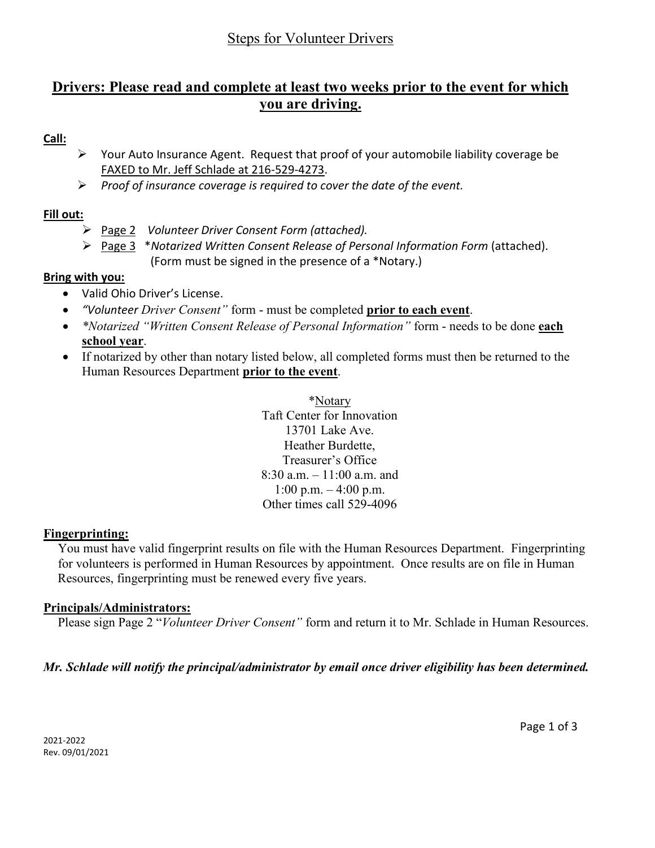## Steps for Volunteer Drivers

# **Drivers: Please read and complete at least two weeks prior to the event for which you are driving.**

## **Call:**

- $\triangleright$  Your Auto Insurance Agent. Request that proof of your automobile liability coverage be FAXED to Mr. Jeff Schlade at 216-529-4273.
- *Proof of insurance coverage is required to cover the date of the event.*

## **Fill out:**

- Page 2 *Volunteer Driver Consent Form (attached).*
- Page 3 \**Notarized Written Consent Release of Personal Information Form* (attached). (Form must be signed in the presence of a \*Notary.)

## **Bring with you:**

- Valid Ohio Driver's License.
- *"Volunteer Driver Consent"* form must be completed **prior to each event**.
- *\*Notarized "Written Consent Release of Personal Information"* form needs to be done **each school year**.
- If notarized by other than notary listed below, all completed forms must then be returned to the Human Resources Department **prior to the event**.

\*Notary Taft Center for Innovation 13701 Lake Ave. Heather Burdette, Treasurer's Office 8:30 a.m. – 11:00 a.m. and 1:00 p.m.  $-4:00$  p.m. Other times call 529-4096

#### **Fingerprinting:**

You must have valid fingerprint results on file with the Human Resources Department. Fingerprinting for volunteers is performed in Human Resources by appointment. Once results are on file in Human Resources, fingerprinting must be renewed every five years.

#### **Principals/Administrators:**

Please sign Page 2 "*Volunteer Driver Consent"* form and return it to Mr. Schlade in Human Resources.

#### *Mr. Schlade will notify the principal/administrator by email once driver eligibility has been determined.*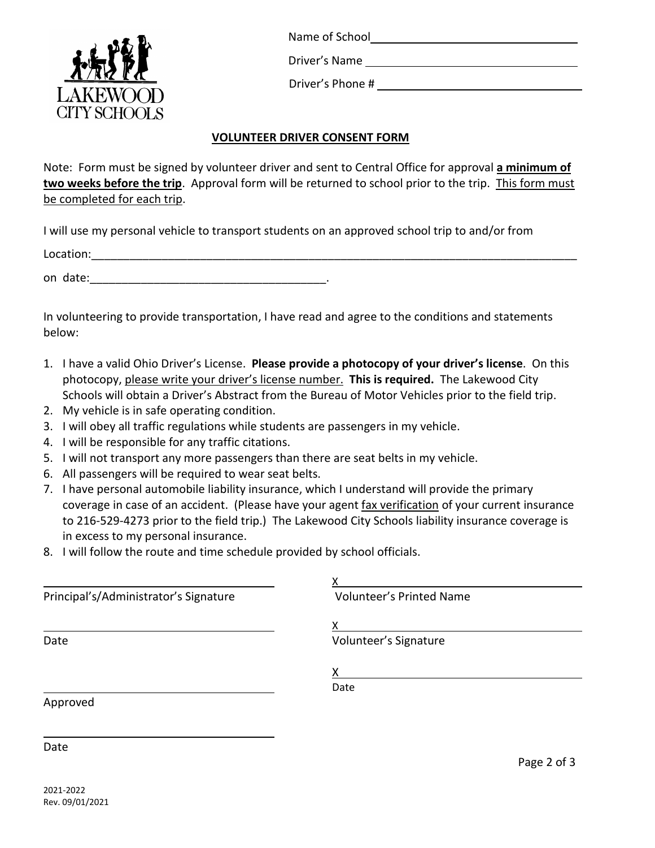

Name of School

Driver's Name

Driver's Phone #

## **VOLUNTEER DRIVER CONSENT FORM**

Note: Form must be signed by volunteer driver and sent to Central Office for approval **a minimum of two weeks before the trip**. Approval form will be returned to school prior to the trip. This form must be completed for each trip.

I will use my personal vehicle to transport students on an approved school trip to and/or from

Location:

on date:

In volunteering to provide transportation, I have read and agree to the conditions and statements below:

- 1. I have a valid Ohio Driver's License. **Please provide a photocopy of your driver's license**. On this photocopy, please write your driver's license number. **This is required.** The Lakewood City Schools will obtain a Driver's Abstract from the Bureau of Motor Vehicles prior to the field trip.
- 2. My vehicle is in safe operating condition.
- 3. I will obey all traffic regulations while students are passengers in my vehicle.
- 4. I will be responsible for any traffic citations.
- 5. I will not transport any more passengers than there are seat belts in my vehicle.
- 6. All passengers will be required to wear seat belts.
- 7. I have personal automobile liability insurance, which I understand will provide the primary coverage in case of an accident. (Please have your agent fax verification of your current insurance to 216-529-4273 prior to the field trip.) The Lakewood City Schools liability insurance coverage is in excess to my personal insurance.
- 8. I will follow the route and time schedule provided by school officials.

| Principal's/Administrator's Signature | <b>Volunteer's Printed Name</b> |  |
|---------------------------------------|---------------------------------|--|
|                                       | x                               |  |
| Date                                  | Volunteer's Signature           |  |
|                                       | х                               |  |
|                                       | Date                            |  |
| Approved                              |                                 |  |

Date